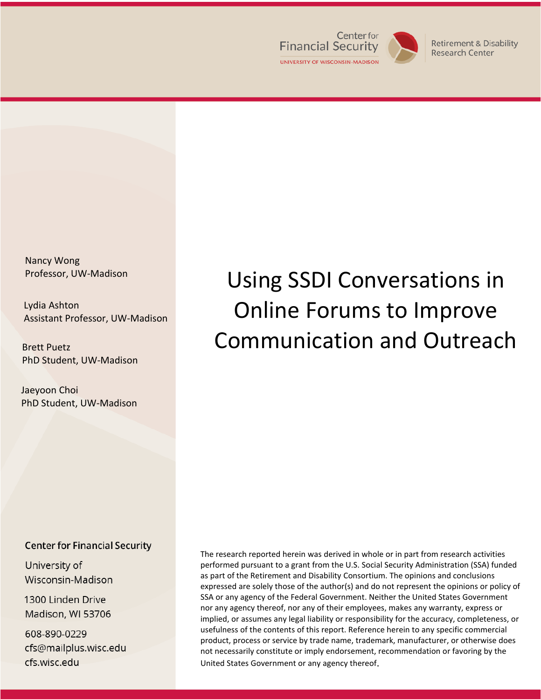

**Retirement & Disability** Research Center

Nancy Wong Professor, UW-Madison

Lydia Ashton Assistant Professor, UW-Madison

Brett Puetz PhD Student, UW-Madison

Jaeyoon Choi PhD Student, UW-Madison

#### **Center for Financial Security**

University of Wisconsin-Madison

1300 Linden Drive Madison, WI 53706

608-890-0229 cfs@mailplus.wisc.edu cfs.wisc.edu

The research reported herein was derived in whole or in part from research activities performed pursuant to a grant from the U.S. Social Security Administration (SSA) funded as part of the Retirement and Disability Consortium. The opinions and conclusions expressed are solely those of the author(s) and do not represent the opinions or policy of SSA or any agency of the Federal Government. Neither the United States Government nor any agency thereof, nor any of their employees, makes any warranty, express or implied, or assumes any legal liability or responsibility for the accuracy, completeness, or usefulness of the contents of this report. Reference herein to any specific commercial product, process or service by trade name, trademark, manufacturer, or otherwise does not necessarily constitute or imply endorsement, recommendation or favoring by the United States Government or any agency thereof.

# Using SSDI Conversations in Online Forums to Improve Communication and Outreach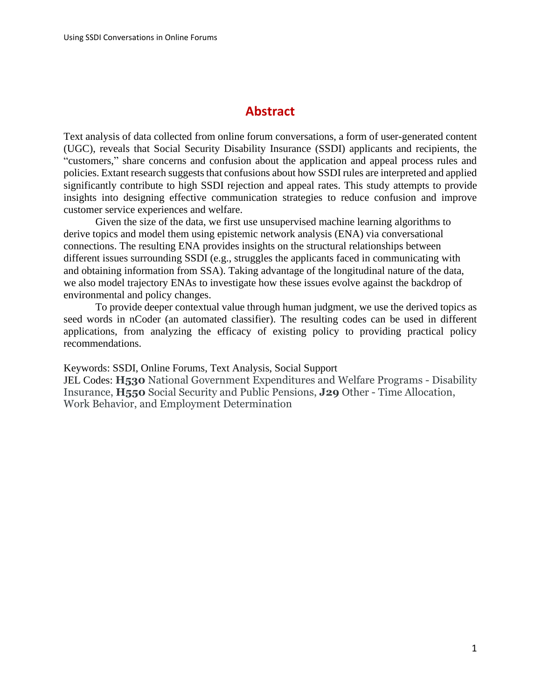## **Abstract**

Text analysis of data collected from online forum conversations, a form of user-generated content (UGC), reveals that Social Security Disability Insurance (SSDI) applicants and recipients, the "customers," share concerns and confusion about the application and appeal process rules and policies. Extant research suggests that confusions about how SSDI rules are interpreted and applied significantly contribute to high SSDI rejection and appeal rates. This study attempts to provide insights into designing effective communication strategies to reduce confusion and improve customer service experiences and welfare.

Given the size of the data, we first use unsupervised machine learning algorithms to derive topics and model them using epistemic network analysis (ENA) via conversational connections. The resulting ENA provides insights on the structural relationships between different issues surrounding SSDI (e.g., struggles the applicants faced in communicating with and obtaining information from SSA). Taking advantage of the longitudinal nature of the data, we also model trajectory ENAs to investigate how these issues evolve against the backdrop of environmental and policy changes.

To provide deeper contextual value through human judgment, we use the derived topics as seed words in nCoder (an automated classifier). The resulting codes can be used in different applications, from analyzing the efficacy of existing policy to providing practical policy recommendations.

Keywords: SSDI, Online Forums, Text Analysis, Social Support

JEL Codes: **H530** National Government Expenditures and Welfare Programs - Disability Insurance, **H550** Social Security and Public Pensions, **J29** Other - Time Allocation, Work Behavior, and Employment Determination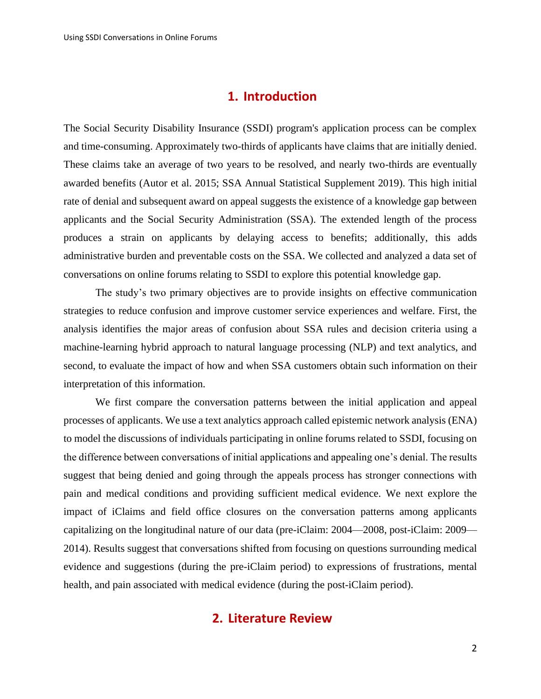## **1. Introduction**

The Social Security Disability Insurance (SSDI) program's application process can be complex and time-consuming. Approximately two-thirds of applicants have claims that are initially denied. These claims take an average of two years to be resolved, and nearly two-thirds are eventually awarded benefits (Autor et al. 2015; SSA Annual Statistical Supplement 2019). This high initial rate of denial and subsequent award on appeal suggests the existence of a knowledge gap between applicants and the Social Security Administration (SSA). The extended length of the process produces a strain on applicants by delaying access to benefits; additionally, this adds administrative burden and preventable costs on the SSA. We collected and analyzed a data set of conversations on online forums relating to SSDI to explore this potential knowledge gap.

The study's two primary objectives are to provide insights on effective communication strategies to reduce confusion and improve customer service experiences and welfare. First, the analysis identifies the major areas of confusion about SSA rules and decision criteria using a machine-learning hybrid approach to natural language processing (NLP) and text analytics, and second, to evaluate the impact of how and when SSA customers obtain such information on their interpretation of this information.

We first compare the conversation patterns between the initial application and appeal processes of applicants. We use a text analytics approach called epistemic network analysis (ENA) to model the discussions of individuals participating in online forums related to SSDI, focusing on the difference between conversations of initial applications and appealing one's denial. The results suggest that being denied and going through the appeals process has stronger connections with pain and medical conditions and providing sufficient medical evidence. We next explore the impact of iClaims and field office closures on the conversation patterns among applicants capitalizing on the longitudinal nature of our data (pre-iClaim: 2004—2008, post-iClaim: 2009— 2014). Results suggest that conversations shifted from focusing on questions surrounding medical evidence and suggestions (during the pre-iClaim period) to expressions of frustrations, mental health, and pain associated with medical evidence (during the post-iClaim period).

## **2. Literature Review**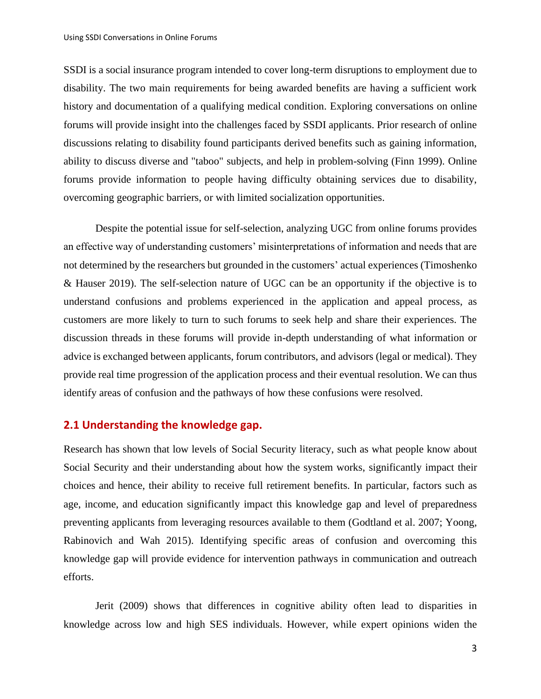SSDI is a social insurance program intended to cover long-term disruptions to employment due to disability. The two main requirements for being awarded benefits are having a sufficient work history and documentation of a qualifying medical condition. Exploring conversations on online forums will provide insight into the challenges faced by SSDI applicants. Prior research of online discussions relating to disability found participants derived benefits such as gaining information, ability to discuss diverse and "taboo" subjects, and help in problem-solving (Finn 1999). Online forums provide information to people having difficulty obtaining services due to disability, overcoming geographic barriers, or with limited socialization opportunities.

Despite the potential issue for self-selection, analyzing UGC from online forums provides an effective way of understanding customers' misinterpretations of information and needs that are not determined by the researchers but grounded in the customers' actual experiences [\(Timoshenko](#page-18-0)  [& Hauser 2019\)](#page-18-0). The self-selection nature of UGC can be an opportunity if the objective is to understand confusions and problems experienced in the application and appeal process, as customers are more likely to turn to such forums to seek help and share their experiences. The discussion threads in these forums will provide in-depth understanding of what information or advice is exchanged between applicants, forum contributors, and advisors (legal or medical). They provide real time progression of the application process and their eventual resolution. We can thus identify areas of confusion and the pathways of how these confusions were resolved.

#### **2.1 Understanding the knowledge gap.**

Research has shown that low levels of Social Security literacy, such as what people know about Social Security and their understanding about how the system works, significantly impact their choices and hence, their ability to receive full retirement benefits. In particular, factors such as age, income, and education significantly impact this knowledge gap and level of preparedness preventing applicants from leveraging resources available to them (Godtland et al. 2007; Yoong, Rabinovich and Wah 2015). Identifying specific areas of confusion and overcoming this knowledge gap will provide evidence for intervention pathways in communication and outreach efforts.

Jerit (2009) shows that differences in cognitive ability often lead to disparities in knowledge across low and high SES individuals. However, while expert opinions widen the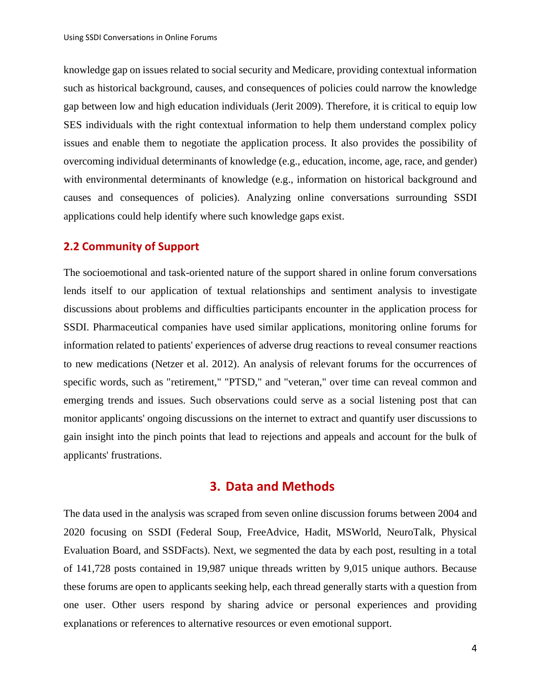knowledge gap on issues related to social security and Medicare, providing contextual information such as historical background, causes, and consequences of policies could narrow the knowledge gap between low and high education individuals (Jerit 2009). Therefore, it is critical to equip low SES individuals with the right contextual information to help them understand complex policy issues and enable them to negotiate the application process. It also provides the possibility of overcoming individual determinants of knowledge (e.g., education, income, age, race, and gender) with environmental determinants of knowledge (e.g., information on historical background and causes and consequences of policies). Analyzing online conversations surrounding SSDI applications could help identify where such knowledge gaps exist.

#### **2.2 Community of Support**

The socioemotional and task-oriented nature of the support shared in online forum conversations lends itself to our application of textual relationships and sentiment analysis to investigate discussions about problems and difficulties participants encounter in the application process for SSDI. Pharmaceutical companies have used similar applications, monitoring online forums for information related to patients' experiences of adverse drug reactions to reveal consumer reactions to new medications (Netzer et al. 2012). An analysis of relevant forums for the occurrences of specific words, such as "retirement," "PTSD," and "veteran," over time can reveal common and emerging trends and issues. Such observations could serve as a social listening post that can monitor applicants' ongoing discussions on the internet to extract and quantify user discussions to gain insight into the pinch points that lead to rejections and appeals and account for the bulk of applicants' frustrations.

## **3. Data and Methods**

The data used in the analysis was scraped from seven online discussion forums between 2004 and 2020 focusing on SSDI (Federal Soup, FreeAdvice, Hadit, MSWorld, NeuroTalk, Physical Evaluation Board, and SSDFacts). Next, we segmented the data by each post, resulting in a total of 141,728 posts contained in 19,987 unique threads written by 9,015 unique authors. Because these forums are open to applicants seeking help, each thread generally starts with a question from one user. Other users respond by sharing advice or personal experiences and providing explanations or references to alternative resources or even emotional support.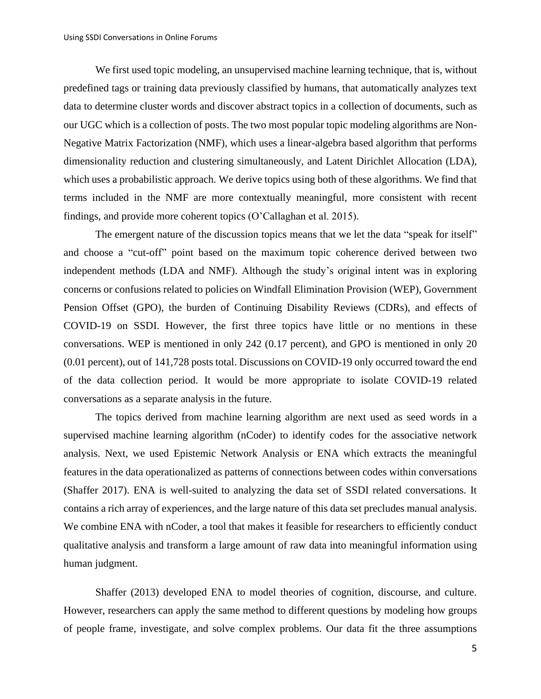We first used topic modeling, an unsupervised machine learning technique, that is, without predefined tags or training data previously classified by humans, that automatically analyzes text data to determine cluster words and discover abstract topics in a collection of documents, such as our UGC which is a collection of posts. The two most popular topic modeling algorithms are Non-Negative Matrix Factorization (NMF), which uses a linear-algebra based algorithm that performs dimensionality reduction and clustering simultaneously, and Latent Dirichlet Allocation (LDA), which uses a probabilistic approach. We derive topics using both of these algorithms. We find that terms included in the NMF are more contextually meaningful, more consistent with recent findings, and provide more coherent topics (O'Callaghan et al. 2015).

The emergent nature of the discussion topics means that we let the data "speak for itself" and choose a "cut-off" point based on the maximum topic coherence derived between two independent methods (LDA and NMF). Although the study's original intent was in exploring concerns or confusions related to policies on Windfall Elimination Provision (WEP), Government Pension Offset (GPO), the burden of Continuing Disability Reviews (CDRs), and effects of COVID-19 on SSDI. However, the first three topics have little or no mentions in these conversations. WEP is mentioned in only 242 (0.17 percent), and GPO is mentioned in only 20 (0.01 percent), out of 141,728 posts total. Discussions on COVID-19 only occurred toward the end of the data collection period. It would be more appropriate to isolate COVID-19 related conversations as a separate analysis in the future.

The topics derived from machine learning algorithm are next used as seed words in a supervised machine learning algorithm (nCoder) to identify codes for the associative network analysis. Next, we used Epistemic Network Analysis or ENA which extracts the meaningful features in the data operationalized as patterns of connections between codes within conversations (Shaffer 2017). ENA is well-suited to analyzing the data set of SSDI related conversations. It contains a rich array of experiences, and the large nature of this data set precludes manual analysis. We combine ENA with nCoder, a tool that makes it feasible for researchers to efficiently conduct qualitative analysis and transform a large amount of raw data into meaningful information using human judgment.

Shaffer (2013) developed ENA to model theories of cognition, discourse, and culture. However, researchers can apply the same method to different questions by modeling how groups of people frame, investigate, and solve complex problems. Our data fit the three assumptions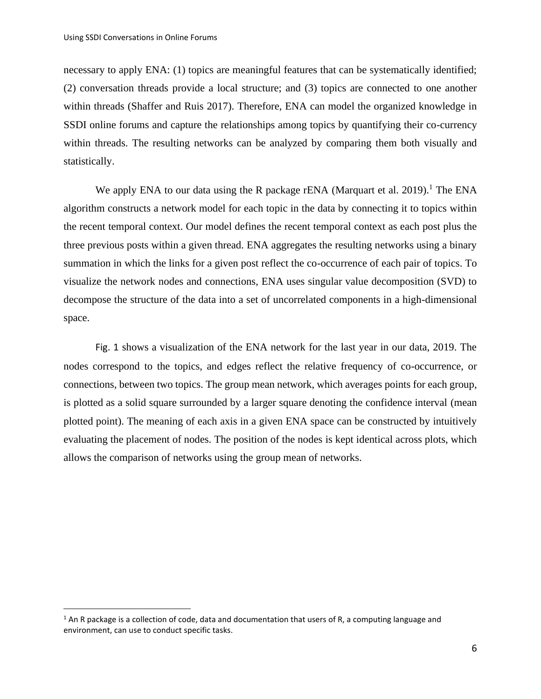necessary to apply ENA: (1) topics are meaningful features that can be systematically identified; (2) conversation threads provide a local structure; and (3) topics are connected to one another within threads (Shaffer and Ruis 2017). Therefore, ENA can model the organized knowledge in SSDI online forums and capture the relationships among topics by quantifying their co-currency within threads. The resulting networks can be analyzed by comparing them both visually and statistically.

We apply ENA to our data using the R package rENA (Marquart et al. 2019).<sup>1</sup> The ENA algorithm constructs a network model for each topic in the data by connecting it to topics within the recent temporal context. Our model defines the recent temporal context as each post plus the three previous posts within a given thread. ENA aggregates the resulting networks using a binary summation in which the links for a given post reflect the co-occurrence of each pair of topics. To visualize the network nodes and connections, ENA uses singular value decomposition (SVD) to decompose the structure of the data into a set of uncorrelated components in a high-dimensional space.

[Fig. 1](#page-7-0) shows a visualization of the ENA network for the last year in our data, 2019. The nodes correspond to the topics, and edges reflect the relative frequency of co-occurrence, or connections, between two topics. The group mean network, which averages points for each group, is plotted as a solid square surrounded by a larger square denoting the confidence interval (mean plotted point). The meaning of each axis in a given ENA space can be constructed by intuitively evaluating the placement of nodes. The position of the nodes is kept identical across plots, which allows the comparison of networks using the group mean of networks.

 $1$  An R package is a collection of code, data and documentation that users of R, a computing language and environment, can use to conduct specific tasks.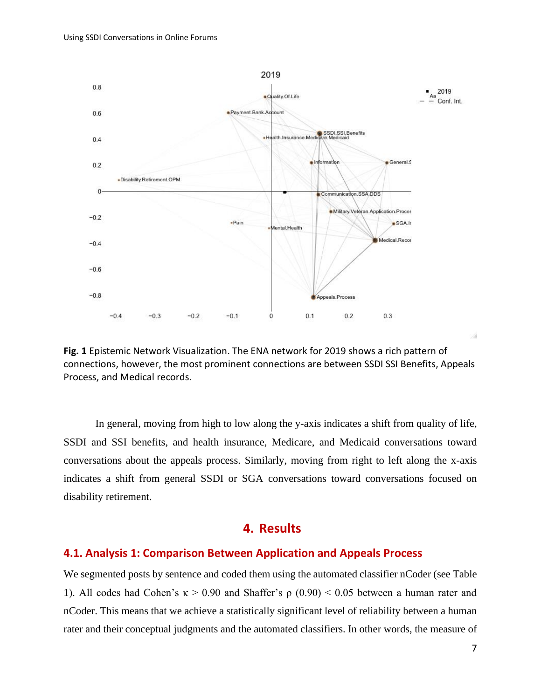

<span id="page-7-0"></span>**Fig. 1** Epistemic Network Visualization. The ENA network for 2019 shows a rich pattern of connections, however, the most prominent connections are between SSDI SSI Benefits, Appeals Process, and Medical records.

In general, moving from high to low along the y-axis indicates a shift from quality of life, SSDI and SSI benefits, and health insurance, Medicare, and Medicaid conversations toward conversations about the appeals process. Similarly, moving from right to left along the x-axis indicates a shift from general SSDI or SGA conversations toward conversations focused on disability retirement.

## **4. Results**

#### **4.1. Analysis 1: Comparison Between Application and Appeals Process**

We segmented posts by sentence and coded them using the automated classifier nCoder (see [Table](#page-8-0)  [1\)](#page-8-0). All codes had Cohen's  $κ > 0.90$  and Shaffer's  $ρ$  (0.90) < 0.05 between a human rater and nCoder. This means that we achieve a statistically significant level of reliability between a human rater and their conceptual judgments and the automated classifiers. In other words, the measure of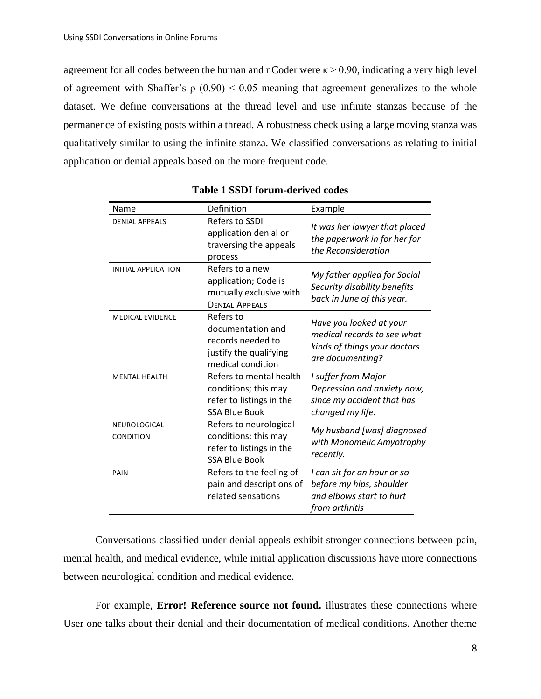agreement for all codes between the human and nCoder were  $\kappa > 0.90$ , indicating a very high level of agreement with Shaffer's  $\rho$  (0.90) < 0.05 meaning that agreement generalizes to the whole dataset. We define conversations at the thread level and use infinite stanzas because of the permanence of existing posts within a thread. A robustness check using a large moving stanza was qualitatively similar to using the infinite stanza. We classified conversations as relating to initial application or denial appeals based on the more frequent code.

<span id="page-8-0"></span>

| Name                             | Definition                                                                                          | Example                                                                                                    |
|----------------------------------|-----------------------------------------------------------------------------------------------------|------------------------------------------------------------------------------------------------------------|
| <b>DENIAL APPEALS</b>            | Refers to SSDI<br>application denial or<br>traversing the appeals<br>process                        | It was her lawyer that placed<br>the paperwork in for her for<br>the Reconsideration                       |
| <b>INITIAL APPLICATION</b>       | Refers to a new<br>application; Code is<br>mutually exclusive with<br><b>DENIAL APPEALS</b>         | My father applied for Social<br>Security disability benefits<br>back in June of this year.                 |
| <b>MEDICAL EVIDENCE</b>          | Refers to<br>documentation and<br>records needed to<br>justify the qualifying<br>medical condition  | Have you looked at your<br>medical records to see what<br>kinds of things your doctors<br>are documenting? |
| <b>MENTAL HEALTH</b>             | Refers to mental health<br>conditions; this may<br>refer to listings in the<br><b>SSA Blue Book</b> | I suffer from Major<br>Depression and anxiety now,<br>since my accident that has<br>changed my life.       |
| NEUROLOGICAL<br><b>CONDITION</b> | Refers to neurological<br>conditions; this may<br>refer to listings in the<br><b>SSA Blue Book</b>  | My husband [was] diagnosed<br>with Monomelic Amyotrophy<br>recently.                                       |
| PAIN                             | Refers to the feeling of<br>pain and descriptions of<br>related sensations                          | I can sit for an hour or so<br>before my hips, shoulder<br>and elbows start to hurt<br>from arthritis      |

**Table 1 SSDI forum-derived codes**

Conversations classified under denial appeals exhibit stronger connections between pain, mental health, and medical evidence, while initial application discussions have more connections between neurological condition and medical evidence.

For example, **Error! Reference source not found.** illustrates these connections where User one talks about their denial and their documentation of medical conditions. Another theme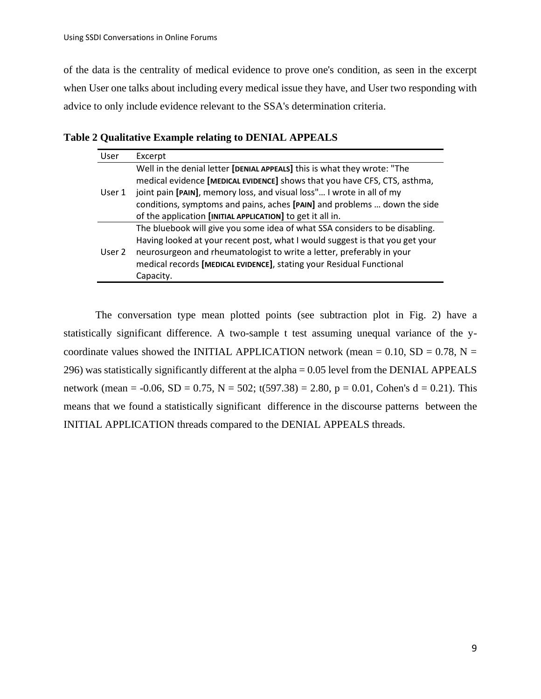of the data is the centrality of medical evidence to prove one's condition, as seen in the excerpt when User one talks about including every medical issue they have, and User two responding with advice to only include evidence relevant to the SSA's determination criteria.

**Table 2 Qualitative Example relating to DENIAL APPEALS**

| User   | Excerpt                                                                                                                                                                                                                                                                                                                                                                  |  |
|--------|--------------------------------------------------------------------------------------------------------------------------------------------------------------------------------------------------------------------------------------------------------------------------------------------------------------------------------------------------------------------------|--|
| User 1 | Well in the denial letter [DENIAL APPEALS] this is what they wrote: "The<br>medical evidence [MEDICAL EVIDENCE] shows that you have CFS, CTS, asthma,<br>joint pain [PAIN], memory loss, and visual loss" I wrote in all of my<br>conditions, symptoms and pains, aches [PAIN] and problems  down the side<br>of the application [INITIAL APPLICATION] to get it all in. |  |
| User 2 | The bluebook will give you some idea of what SSA considers to be disabling.<br>Having looked at your recent post, what I would suggest is that you get your<br>neurosurgeon and rheumatologist to write a letter, preferably in your<br>medical records [MEDICAL EVIDENCE], stating your Residual Functional<br>Capacity.                                                |  |

The conversation type mean plotted points (see subtraction plot in [Fig. 2\)](#page-10-0) have a statistically significant difference. A two-sample t test assuming unequal variance of the ycoordinate values showed the INITIAL APPLICATION network (mean  $= 0.10$ , SD  $= 0.78$ , N  $=$ 296) was statistically significantly different at the alpha = 0.05 level from the DENIAL APPEALS network (mean = -0.06, SD = 0.75, N = 502; t(597.38) = 2.80, p = 0.01, Cohen's d = 0.21). This means that we found a statistically significant difference in the discourse patterns between the INITIAL APPLICATION threads compared to the DENIAL APPEALS threads.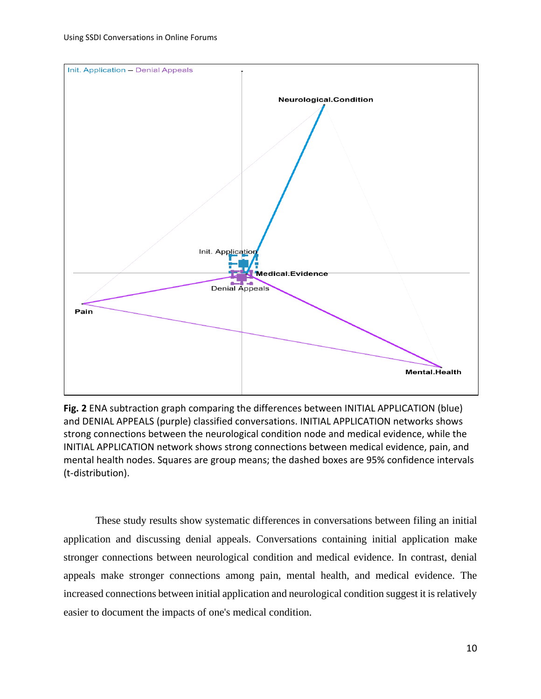

<span id="page-10-0"></span>**Fig. 2** ENA subtraction graph comparing the differences between INITIAL APPLICATION (blue) and DENIAL APPEALS (purple) classified conversations. INITIAL APPLICATION networks shows strong connections between the neurological condition node and medical evidence, while the INITIAL APPLICATION network shows strong connections between medical evidence, pain, and mental health nodes. Squares are group means; the dashed boxes are 95% confidence intervals (t-distribution).

These study results show systematic differences in conversations between filing an initial application and discussing denial appeals. Conversations containing initial application make stronger connections between neurological condition and medical evidence. In contrast, denial appeals make stronger connections among pain, mental health, and medical evidence. The increased connections between initial application and neurological condition suggest it is relatively easier to document the impacts of one's medical condition.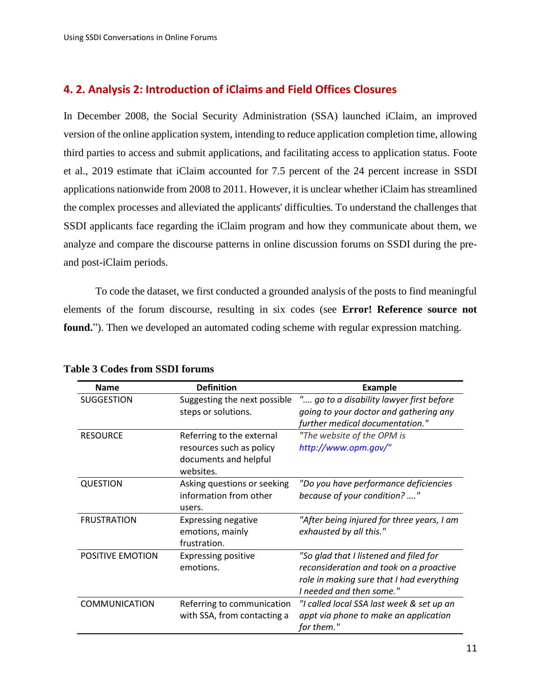## **4. 2. Analysis 2: Introduction of iClaims and Field Offices Closures**

In December 2008, the Social Security Administration (SSA) launched iClaim, an improved version of the online application system, intending to reduce application completion time, allowing third parties to access and submit applications, and facilitating access to application status. Foote et al., 2019 estimate that iClaim accounted for 7.5 percent of the 24 percent increase in SSDI applications nationwide from 2008 to 2011. However, it is unclear whether iClaim has streamlined the complex processes and alleviated the applicants' difficulties. To understand the challenges that SSDI applicants face regarding the iClaim program and how they communicate about them, we analyze and compare the discourse patterns in online discussion forums on SSDI during the preand post-iClaim periods.

To code the dataset, we first conducted a grounded analysis of the posts to find meaningful elements of the forum discourse, resulting in six codes (see **Error! Reference source not found.**"). Then we developed an automated coding scheme with regular expression matching.

| <b>Name</b>                                                              | <b>Definition</b>                                                                           | <b>Example</b>                                                                                                                                             |  |
|--------------------------------------------------------------------------|---------------------------------------------------------------------------------------------|------------------------------------------------------------------------------------------------------------------------------------------------------------|--|
| <b>SUGGESTION</b><br>Suggesting the next possible<br>steps or solutions. |                                                                                             | " go to a disability lawyer first before<br>going to your doctor and gathering any<br>further medical documentation."                                      |  |
| <b>RESOURCE</b>                                                          | Referring to the external<br>resources such as policy<br>documents and helpful<br>websites. | "The website of the OPM is<br>http://www.opm.gov/"                                                                                                         |  |
| <b>QUESTION</b>                                                          | Asking questions or seeking<br>information from other<br>users.                             | "Do you have performance deficiencies<br>because of your condition? "                                                                                      |  |
| <b>FRUSTRATION</b>                                                       | <b>Expressing negative</b><br>emotions, mainly<br>frustration.                              | "After being injured for three years, I am<br>exhausted by all this."                                                                                      |  |
| POSITIVE EMOTION<br><b>Expressing positive</b><br>emotions.              |                                                                                             | "So glad that I listened and filed for<br>reconsideration and took on a proactive<br>role in making sure that I had everything<br>I needed and then some." |  |
| <b>COMMUNICATION</b>                                                     | Referring to communication<br>with SSA, from contacting a                                   | "I called local SSA last week & set up an<br>appt via phone to make an application<br>for them."                                                           |  |

## **Table 3 Codes from SSDI forums**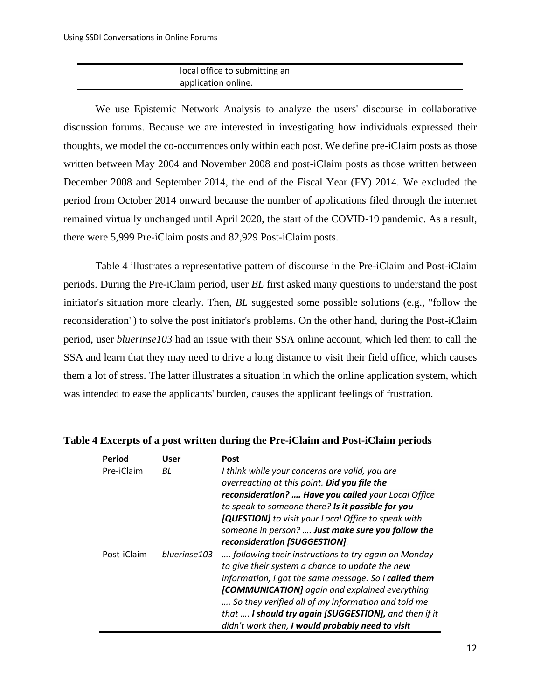## local office to submitting an application online.

We use Epistemic Network Analysis to analyze the users' discourse in collaborative discussion forums. Because we are interested in investigating how individuals expressed their thoughts, we model the co-occurrences only within each post. We define pre-iClaim posts as those written between May 2004 and November 2008 and post-iClaim posts as those written between December 2008 and September 2014, the end of the Fiscal Year (FY) 2014. We excluded the period from October 2014 onward because the number of applications filed through the internet remained virtually unchanged until April 2020, the start of the COVID-19 pandemic. As a result, there were 5,999 Pre-iClaim posts and 82,929 Post-iClaim posts.

Table 4 illustrates a representative pattern of discourse in the Pre-iClaim and Post-iClaim periods. During the Pre-iClaim period, user *BL* first asked many questions to understand the post initiator's situation more clearly. Then, *BL* suggested some possible solutions (e.g., "follow the reconsideration") to solve the post initiator's problems. On the other hand, during the Post-iClaim period, user *bluerinse103* had an issue with their SSA online account, which led them to call the SSA and learn that they may need to drive a long distance to visit their field office, which causes them a lot of stress. The latter illustrates a situation in which the online application system, which was intended to ease the applicants' burden, causes the applicant feelings of frustration.

| Period      | User         | <b>Post</b>                                           |
|-------------|--------------|-------------------------------------------------------|
| Pre-iClaim  | BL           | I think while your concerns are valid, you are        |
|             |              | overreacting at this point. Did you file the          |
|             |              | reconsideration?  Have you called your Local Office   |
|             |              | to speak to someone there? Is it possible for you     |
|             |              | [QUESTION] to visit your Local Office to speak with   |
|             |              | someone in person?  Just make sure you follow the     |
|             |              | reconsideration [SUGGESTION].                         |
| Post-iClaim | bluerinse103 | following their instructions to try again on Monday   |
|             |              | to give their system a chance to update the new       |
|             |              | information, I got the same message. So I called them |
|             |              | [COMMUNICATION] again and explained everything        |
|             |              | So they verified all of my information and told me    |
|             |              | that  I should try again [SUGGESTION], and then if it |
|             |              | didn't work then, I would probably need to visit      |

**Table 4 Excerpts of a post written during the Pre-iClaim and Post-iClaim periods**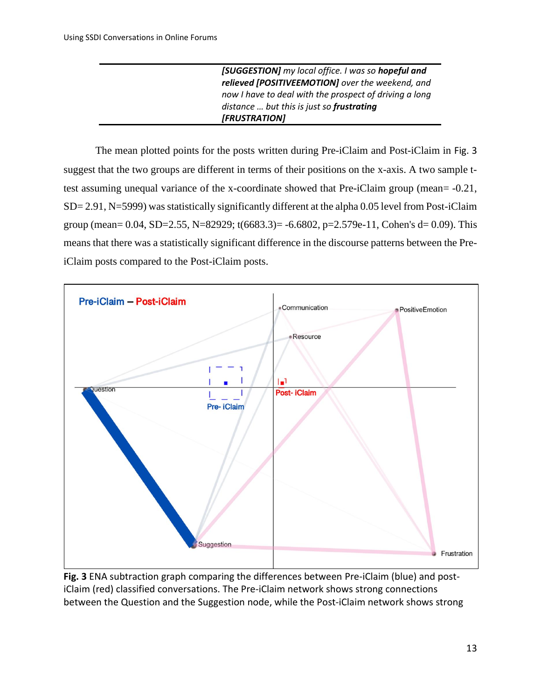*[SUGGESTION] my local office. I was so hopeful and relieved [POSITIVEEMOTION] over the weekend, and now I have to deal with the prospect of driving a long distance … but this is just so frustrating [FRUSTRATION]*

The mean plotted points for the posts written during Pre-iClaim and Post-iClaim in [Fig. 3](#page-13-0) suggest that the two groups are different in terms of their positions on the x-axis. A two sample ttest assuming unequal variance of the x-coordinate showed that Pre-iClaim group (mean= -0.21, SD= 2.91, N=5999) was statistically significantly different at the alpha 0.05 level from Post-iClaim group (mean= 0.04, SD=2.55, N=82929; t(6683.3)= -6.6802, p=2.579e-11, Cohen's d= 0.09). This means that there was a statistically significant difference in the discourse patterns between the PreiClaim posts compared to the Post-iClaim posts.



<span id="page-13-0"></span>**Fig. 3** ENA subtraction graph comparing the differences between Pre-iClaim (blue) and postiClaim (red) classified conversations. The Pre-iClaim network shows strong connections between the Question and the Suggestion node, while the Post-iClaim network shows strong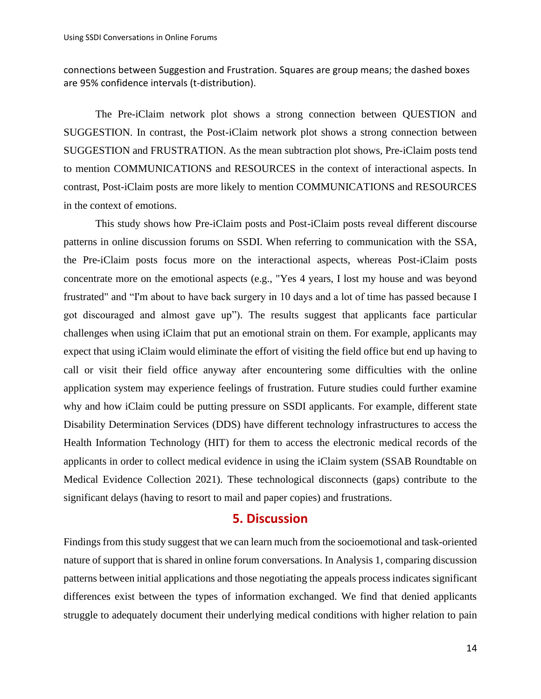connections between Suggestion and Frustration. Squares are group means; the dashed boxes are 95% confidence intervals (t-distribution).

The Pre-iClaim network plot shows a strong connection between QUESTION and SUGGESTION. In contrast, the Post-iClaim network plot shows a strong connection between SUGGESTION and FRUSTRATION. As the mean subtraction plot shows, Pre-iClaim posts tend to mention COMMUNICATIONS and RESOURCES in the context of interactional aspects. In contrast, Post-iClaim posts are more likely to mention COMMUNICATIONS and RESOURCES in the context of emotions.

This study shows how Pre-iClaim posts and Post-iClaim posts reveal different discourse patterns in online discussion forums on SSDI. When referring to communication with the SSA, the Pre-iClaim posts focus more on the interactional aspects, whereas Post-iClaim posts concentrate more on the emotional aspects (e.g., "Yes 4 years, I lost my house and was beyond frustrated" and "I'm about to have back surgery in 10 days and a lot of time has passed because I got discouraged and almost gave up"). The results suggest that applicants face particular challenges when using iClaim that put an emotional strain on them. For example, applicants may expect that using iClaim would eliminate the effort of visiting the field office but end up having to call or visit their field office anyway after encountering some difficulties with the online application system may experience feelings of frustration. Future studies could further examine why and how iClaim could be putting pressure on SSDI applicants. For example, different state Disability Determination Services (DDS) have different technology infrastructures to access the Health Information Technology (HIT) for them to access the electronic medical records of the applicants in order to collect medical evidence in using the iClaim system (SSAB Roundtable on Medical Evidence Collection 2021). These technological disconnects (gaps) contribute to the significant delays (having to resort to mail and paper copies) and frustrations.

## **5. Discussion**

Findings from this study suggest that we can learn much from the socioemotional and task-oriented nature of support that is shared in online forum conversations. In Analysis 1, comparing discussion patterns between initial applications and those negotiating the appeals process indicates significant differences exist between the types of information exchanged. We find that denied applicants struggle to adequately document their underlying medical conditions with higher relation to pain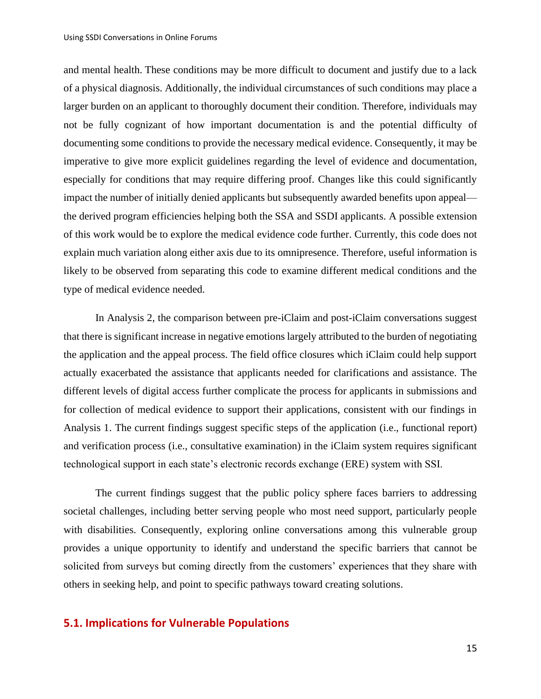and mental health. These conditions may be more difficult to document and justify due to a lack of a physical diagnosis. Additionally, the individual circumstances of such conditions may place a larger burden on an applicant to thoroughly document their condition. Therefore, individuals may not be fully cognizant of how important documentation is and the potential difficulty of documenting some conditions to provide the necessary medical evidence. Consequently, it may be imperative to give more explicit guidelines regarding the level of evidence and documentation, especially for conditions that may require differing proof. Changes like this could significantly impact the number of initially denied applicants but subsequently awarded benefits upon appeal the derived program efficiencies helping both the SSA and SSDI applicants. A possible extension of this work would be to explore the medical evidence code further. Currently, this code does not explain much variation along either axis due to its omnipresence. Therefore, useful information is likely to be observed from separating this code to examine different medical conditions and the type of medical evidence needed.

In Analysis 2, the comparison between pre-iClaim and post-iClaim conversations suggest that there is significant increase in negative emotions largely attributed to the burden of negotiating the application and the appeal process. The field office closures which iClaim could help support actually exacerbated the assistance that applicants needed for clarifications and assistance. The different levels of digital access further complicate the process for applicants in submissions and for collection of medical evidence to support their applications, consistent with our findings in Analysis 1. The current findings suggest specific steps of the application (i.e., functional report) and verification process (i.e., consultative examination) in the iClaim system requires significant technological support in each state's electronic records exchange (ERE) system with SSI.

The current findings suggest that the public policy sphere faces barriers to addressing societal challenges, including better serving people who most need support, particularly people with disabilities. Consequently, exploring online conversations among this vulnerable group provides a unique opportunity to identify and understand the specific barriers that cannot be solicited from surveys but coming directly from the customers' experiences that they share with others in seeking help, and point to specific pathways toward creating solutions.

## **5.1. Implications for Vulnerable Populations**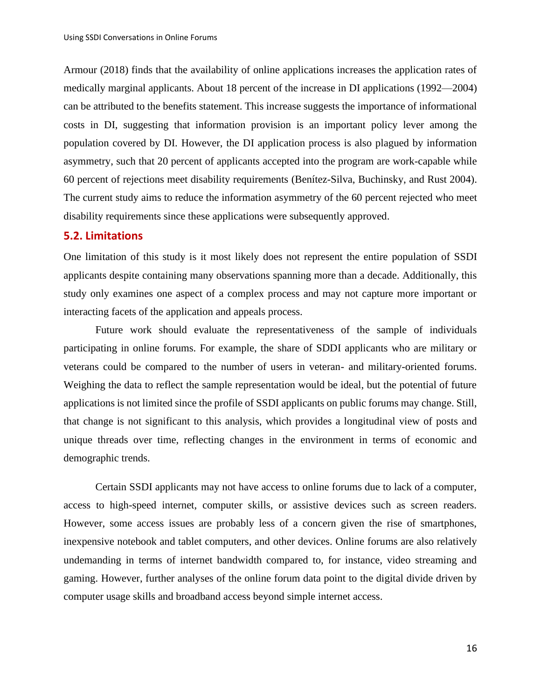Armour (2018) finds that the availability of online applications increases the application rates of medically marginal applicants. About 18 percent of the increase in DI applications (1992—2004) can be attributed to the benefits statement. This increase suggests the importance of informational costs in DI, suggesting that information provision is an important policy lever among the population covered by DI. However, the DI application process is also plagued by information asymmetry, such that 20 percent of applicants accepted into the program are work-capable while 60 percent of rejections meet disability requirements (Benítez-Silva, Buchinsky, and Rust 2004). The current study aims to reduce the information asymmetry of the 60 percent rejected who meet disability requirements since these applications were subsequently approved.

#### **5.2. Limitations**

One limitation of this study is it most likely does not represent the entire population of SSDI applicants despite containing many observations spanning more than a decade. Additionally, this study only examines one aspect of a complex process and may not capture more important or interacting facets of the application and appeals process.

Future work should evaluate the representativeness of the sample of individuals participating in online forums. For example, the share of SDDI applicants who are military or veterans could be compared to the number of users in veteran- and military-oriented forums. Weighing the data to reflect the sample representation would be ideal, but the potential of future applications is not limited since the profile of SSDI applicants on public forums may change. Still, that change is not significant to this analysis, which provides a longitudinal view of posts and unique threads over time, reflecting changes in the environment in terms of economic and demographic trends.

Certain SSDI applicants may not have access to online forums due to lack of a computer, access to high-speed internet, computer skills, or assistive devices such as screen readers. However, some access issues are probably less of a concern given the rise of smartphones, inexpensive notebook and tablet computers, and other devices. Online forums are also relatively undemanding in terms of internet bandwidth compared to, for instance, video streaming and gaming. However, further analyses of the online forum data point to the digital divide driven by computer usage skills and broadband access beyond simple internet access.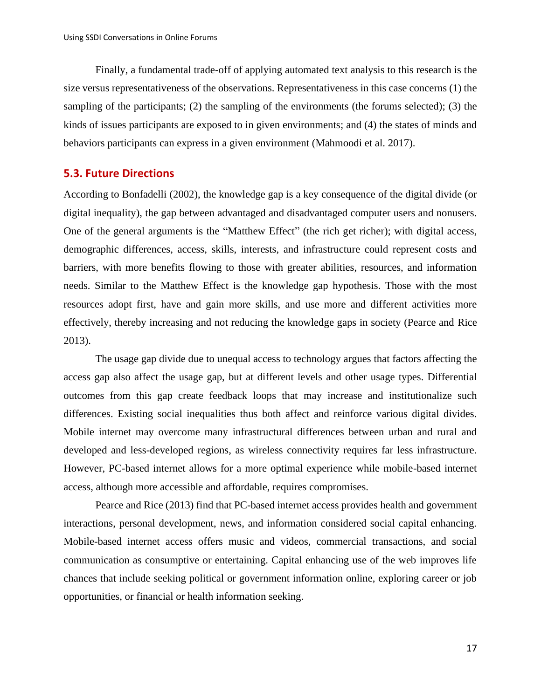Finally, a fundamental trade-off of applying automated text analysis to this research is the size versus representativeness of the observations. Representativeness in this case concerns (1) the sampling of the participants; (2) the sampling of the environments (the forums selected); (3) the kinds of issues participants are exposed to in given environments; and (4) the states of minds and behaviors participants can express in a given environment (Mahmoodi et al. 2017).

## **5.3. Future Directions**

According to Bonfadelli (2002), the knowledge gap is a key consequence of the digital divide (or digital inequality), the gap between advantaged and disadvantaged computer users and nonusers. One of the general arguments is the "Matthew Effect" (the rich get richer); with digital access, demographic differences, access, skills, interests, and infrastructure could represent costs and barriers, with more benefits flowing to those with greater abilities, resources, and information needs. Similar to the Matthew Effect is the knowledge gap hypothesis. Those with the most resources adopt first, have and gain more skills, and use more and different activities more effectively, thereby increasing and not reducing the knowledge gaps in society (Pearce and Rice 2013).

The usage gap divide due to unequal access to technology argues that factors affecting the access gap also affect the usage gap, but at different levels and other usage types. Differential outcomes from this gap create feedback loops that may increase and institutionalize such differences. Existing social inequalities thus both affect and reinforce various digital divides. Mobile internet may overcome many infrastructural differences between urban and rural and developed and less-developed regions, as wireless connectivity requires far less infrastructure. However, PC-based internet allows for a more optimal experience while mobile-based internet access, although more accessible and affordable, requires compromises.

Pearce and Rice (2013) find that PC-based internet access provides health and government interactions, personal development, news, and information considered social capital enhancing. Mobile-based internet access offers music and videos, commercial transactions, and social communication as consumptive or entertaining. Capital enhancing use of the web improves life chances that include seeking political or government information online, exploring career or job opportunities, or financial or health information seeking.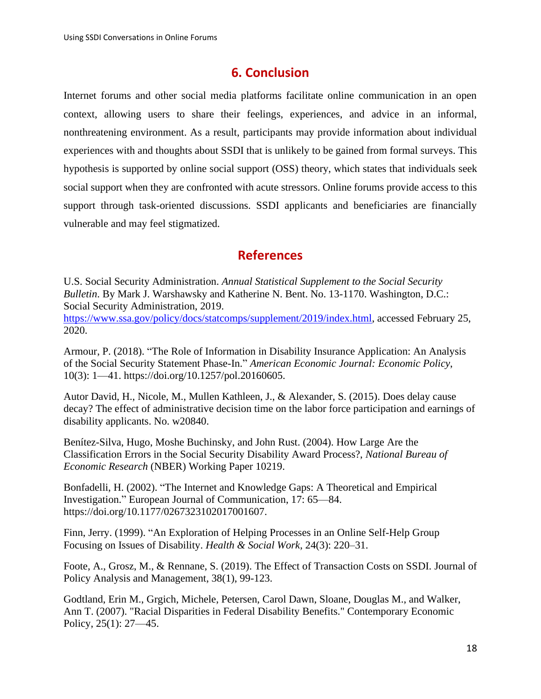# **6. Conclusion**

Internet forums and other social media platforms facilitate online communication in an open context, allowing users to share their feelings, experiences, and advice in an informal, nonthreatening environment. As a result, participants may provide information about individual experiences with and thoughts about SSDI that is unlikely to be gained from formal surveys. This hypothesis is supported by online social support (OSS) theory, which states that individuals seek social support when they are confronted with acute stressors. Online forums provide access to this support through task-oriented discussions. SSDI applicants and beneficiaries are financially vulnerable and may feel stigmatized.

# **References**

<span id="page-18-0"></span>U.S. Social Security Administration. *Annual Statistical Supplement to the Social Security Bulletin*. By Mark J. Warshawsky and Katherine N. Bent. No. 13-1170. Washington, D.C.: Social Security Administration, 2019.

[https://www.ssa.gov/policy/docs/statcomps/supplement/2019/index.html,](https://www.ssa.gov/policy/docs/statcomps/supplement/2019/index.html) accessed February 25, 2020.

Armour, P. (2018). "The Role of Information in Disability Insurance Application: An Analysis of the Social Security Statement Phase-In." *American Economic Journal: Economic Policy*, 10(3): 1—41. https://doi.org/10.1257/pol.20160605.

Autor David, H., Nicole, M., Mullen Kathleen, J., & Alexander, S. (2015). Does delay cause decay? The effect of administrative decision time on the labor force participation and earnings of disability applicants. No. w20840.

Benítez-Silva, Hugo, Moshe Buchinsky, and John Rust. (2004). How Large Are the Classification Errors in the Social Security Disability Award Process?, *National Bureau of Economic Research* (NBER) Working Paper 10219.

Bonfadelli, H. (2002). "The Internet and Knowledge Gaps: A Theoretical and Empirical Investigation." European Journal of Communication, 17: 65—84. https://doi.org/10.1177/0267323102017001607.

Finn, Jerry. (1999). "An Exploration of Helping Processes in an Online Self-Help Group Focusing on Issues of Disability. *Health & Social Work*, 24(3): 220–31.

Foote, A., Grosz, M., & Rennane, S. (2019). The Effect of Transaction Costs on SSDI. Journal of Policy Analysis and Management, 38(1), 99-123.

Godtland, Erin M., Grgich, Michele, Petersen, Carol Dawn, Sloane, Douglas M., and Walker, Ann T. (2007). "Racial Disparities in Federal Disability Benefits." Contemporary Economic Policy, 25(1): 27—45.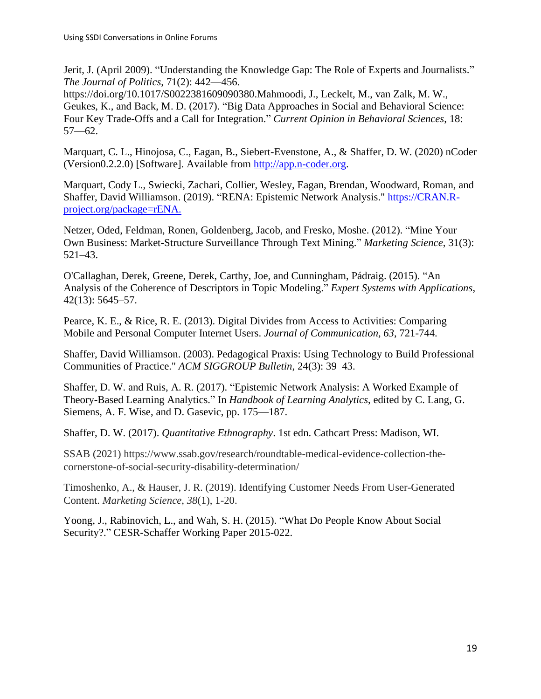Jerit, J. (April 2009). "Understanding the Knowledge Gap: The Role of Experts and Journalists." *The Journal of Politics*, 71(2): 442—456.

https://doi.org/10.1017/S0022381609090380.Mahmoodi, J., Leckelt, M., van Zalk, M. W., Geukes, K., and Back, M. D. (2017). "Big Data Approaches in Social and Behavioral Science: Four Key Trade-Offs and a Call for Integration." *Current Opinion in Behavioral Sciences*, 18: 57—62.

Marquart, C. L., Hinojosa, C., Eagan, B., Siebert-Evenstone, A., & Shaffer, D. W. (2020) nCoder (Version0.2.2.0) [Software]. Available from [http://app.n-coder.org.](http://app.n-coder.org/)

Marquart, Cody L., Swiecki, Zachari, Collier, Wesley, Eagan, Brendan, Woodward, Roman, and Shaffer, David Williamson. (2019). "RENA: Epistemic Network Analysis." [https://CRAN.R](https://cran.r-project.org/package=rENA)[project.org/package=rENA.](https://cran.r-project.org/package=rENA)

Netzer, Oded, Feldman, Ronen, Goldenberg, Jacob, and Fresko, Moshe. (2012). "Mine Your Own Business: Market-Structure Surveillance Through Text Mining." *Marketing Science*, 31(3): 521–43.

O'Callaghan, Derek, Greene, Derek, Carthy, Joe, and Cunningham, Pádraig. (2015). "An Analysis of the Coherence of Descriptors in Topic Modeling." *Expert Systems with Applications*, 42(13): 5645–57.

Pearce, K. E., & Rice, R. E. (2013). Digital Divides from Access to Activities: Comparing Mobile and Personal Computer Internet Users. *Journal of Communication, 63*, 721-744.

Shaffer, David Williamson. (2003). Pedagogical Praxis: Using Technology to Build Professional Communities of Practice." *ACM SIGGROUP Bulletin*, 24(3): 39–43.

Shaffer, D. W. and Ruis, A. R. (2017). "Epistemic Network Analysis: A Worked Example of Theory-Based Learning Analytics." In *Handbook of Learning Analytics*, edited by C. Lang, G. Siemens, A. F. Wise, and D. Gasevic, pp. 175—187.

Shaffer, D. W. (2017). *Quantitative Ethnography*. 1st edn. Cathcart Press: Madison, WI.

SSAB (2021) https://www.ssab.gov/research/roundtable-medical-evidence-collection-thecornerstone-of-social-security-disability-determination/

Timoshenko, A., & Hauser, J. R. (2019). Identifying Customer Needs From User-Generated Content. *Marketing Science*, *38*(1), 1-20.

Yoong, J., Rabinovich, L., and Wah, S. H. (2015). "What Do People Know About Social Security?." CESR-Schaffer Working Paper 2015-022.